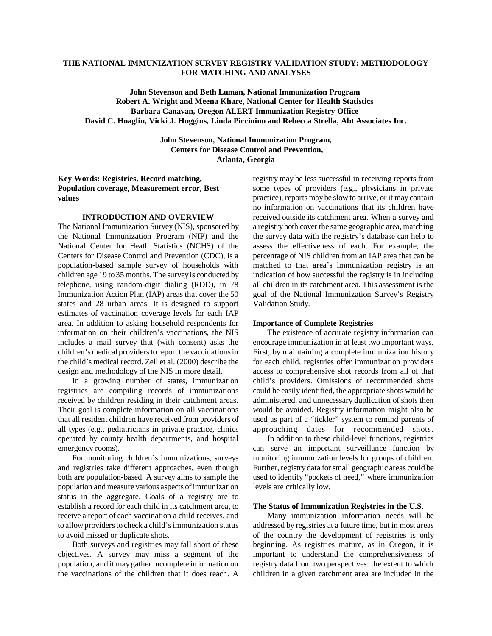# **THE NATIONAL IMMUNIZATION SURVEY REGISTRY VALIDATION STUDY: METHODOLOGY FOR MATCHING AND ANALYSES**

**John Stevenson and Beth Luman, National Immunization Program Robert A. Wright and Meena Khare, National Center for Health Statistics Barbara Canavan, Oregon ALERT Immunization Registry Office David C. Hoaglin, Vicki J. Huggins, Linda Piccinino and Rebecca Strella, Abt Associates Inc.** 

> **John Stevenson, National Immunization Program, Centers for Disease Control and Prevention, Atlanta, Georgia**

**Key Words: Registries, Record matching, Population coverage, Measurement error, Best values** 

#### **INTRODUCTION AND OVERVIEW**

The National Immunization Survey (NIS), sponsored by the National Immunization Program (NIP) and the National Center for Heath Statistics (NCHS) of the Centers for Disease Control and Prevention (CDC), is a population-based sample survey of households with children age 19 to 35 months. The survey is conducted by telephone, using random-digit dialing (RDD), in 78 Immunization Action Plan (IAP) areas that cover the 50 states and 28 urban areas. It is designed to support estimates of vaccination coverage levels for each IAP area. In addition to asking household respondents for information on their children's vaccinations, the NIS includes a mail survey that (with consent) asks the children's medical providers to report the vaccinations in the child's medical record. Zell et al. (2000) describe the design and methodology of the NIS in more detail.

In a growing number of states, immunization registries are compiling records of immunizations received by children residing in their catchment areas. Their goal is complete information on all vaccinations that all resident children have received from providers of all types (e.g., pediatricians in private practice, clinics operated by county health departments, and hospital emergency rooms).

For monitoring children's immunizations, surveys and registries take different approaches, even though both are population-based. A survey aims to sample the population and measure various aspects of immunization status in the aggregate. Goals of a registry are to establish a record for each child in its catchment area, to receive a report of each vaccination a child receives, and to allow providers to check a child's immunization status to avoid missed or duplicate shots.

Both surveys and registries may fall short of these objectives. A survey may miss a segment of the population, and it may gather incomplete information on the vaccinations of the children that it does reach. A

registry may be less successful in receiving reports from some types of providers (e.g., physicians in private practice), reports may be slow to arrive, or it may contain no information on vaccinations that its children have received outside its catchment area. When a survey and a registry both cover the same geographic area, matching the survey data with the registry's database can help to assess the effectiveness of each. For example, the percentage of NIS children from an IAP area that can be matched to that area's immunization registry is an indication of how successful the registry is in including all children in its catchment area. This assessment is the goal of the National Immunization Survey's Registry Validation Study.

#### **Importance of Complete Registries**

The existence of accurate registry information can encourage immunization in at least two important ways. First, by maintaining a complete immunization history for each child, registries offer immunization providers access to comprehensive shot records from all of that child's providers. Omissions of recommended shots could be easily identified, the appropriate shots would be administered, and unnecessary duplication of shots then would be avoided. Registry information might also be used as part of a "tickler" system to remind parents of approaching dates for recommended shots.

In addition to these child-level functions, registries can serve an important surveillance function by monitoring immunization levels for groups of children. Further, registry data for small geographic areas could be used to identify "pockets of need," where immunization levels are critically low.

#### **The Status of Immunization Registries in the U.S.**

Many immunization information needs will be addressed by registries at a future time, but in most areas of the country the development of registries is only beginning. As registries mature, as in Oregon, it is important to understand the comprehensiveness of registry data from two perspectives: the extent to which children in a given catchment area are included in the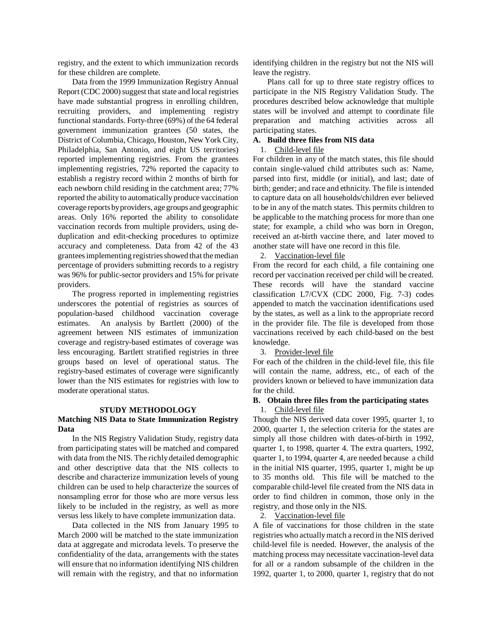registry, and the extent to which immunization records for these children are complete.

Data from the 1999 Immunization Registry Annual Report (CDC 2000) suggest that state and local registries have made substantial progress in enrolling children, recruiting providers, and implementing registry functional standards. Forty-three (69%) of the 64 federal government immunization grantees (50 states, the District of Columbia, Chicago, Houston, New York City, Philadelphia, San Antonio, and eight US territories) reported implementing registries. From the grantees implementing registries, 72% reported the capacity to establish a registry record within 2 months of birth for each newborn child residing in the catchment area; 77% reported the ability to automatically produce vaccination coverage reports by providers, age groups and geographic areas. Only 16% reported the ability to consolidate vaccination records from multiple providers, using deduplication and edit-checking procedures to optimize accuracy and completeness. Data from 42 of the 43 grantees implementing registries showed that the median percentage of providers submitting records to a registry was 96% for public-sector providers and 15% for private providers.

The progress reported in implementing registries underscores the potential of registries as sources of population-based childhood vaccination coverage estimates. An analysis by Bartlett (2000) of the agreement between NIS estimates of immunization coverage and registry-based estimates of coverage was less encouraging. Bartlett stratified registries in three groups based on level of operational status. The registry-based estimates of coverage were significantly lower than the NIS estimates for registries with low to moderate operational status.

## **STUDY METHODOLOGY**

# **Matching NIS Data to State Immunization Registry Data**

In the NIS Registry Validation Study, registry data from participating states will be matched and compared with data from the NIS. The richly detailed demographic and other descriptive data that the NIS collects to describe and characterize immunization levels of young children can be used to help characterize the sources of nonsampling error for those who are more versus less likely to be included in the registry, as well as more versus less likely to have complete immunization data.

Data collected in the NIS from January 1995 to March 2000 will be matched to the state immunization data at aggregate and microdata levels. To preserve the confidentiality of the data, arrangements with the states will ensure that no information identifying NIS children will remain with the registry, and that no information identifying children in the registry but not the NIS will leave the registry.

Plans call for up to three state registry offices to participate in the NIS Registry Validation Study. The procedures described below acknowledge that multiple states will be involved and attempt to coordinate file preparation and matching activities across all participating states.

# **A. Build three files from NIS data**

#### 1. Child-level file

For children in any of the match states, this file should contain single-valued child attributes such as: Name, parsed into first, middle (or initial), and last; date of birth; gender; and race and ethnicity. The file is intended to capture data on all households/children ever believed to be in any of the match states. This permits children to be applicable to the matching process for more than one state; for example, a child who was born in Oregon, received an at-birth vaccine there, and later moved to another state will have one record in this file.

#### 2. Vaccination-level file

From the record for each child, a file containing one record per vaccination received per child will be created. These records will have the standard vaccine classification L7/CVX (CDC 2000, Fig. 7-3) codes appended to match the vaccination identifications used by the states, as well as a link to the appropriate record in the provider file. The file is developed from those vaccinations received by each child-based on the best knowledge.

#### 3. Provider-level file

For each of the children in the child-level file, this file will contain the name, address, etc., of each of the providers known or believed to have immunization data for the child.

## **B. Obtain three files from the participating states**  1. Child-level file

Though the NIS derived data cover 1995, quarter 1, to 2000, quarter 1, the selection criteria for the states are simply all those children with dates-of-birth in 1992, quarter 1, to 1998, quarter 4. The extra quarters, 1992, quarter 1, to 1994, quarter 4, are needed because a child in the initial NIS quarter, 1995, quarter 1, might be up to 35 months old. This file will be matched to the comparable child-level file created from the NIS data in order to find children in common, those only in the registry, and those only in the NIS.

# 2. Vaccination-level file

A file of vaccinations for those children in the state registries who actually match a record in the NIS derived child-level file is needed. However, the analysis of the matching process may necessitate vaccination-level data for all or a random subsample of the children in the 1992, quarter 1, to 2000, quarter 1, registry that do not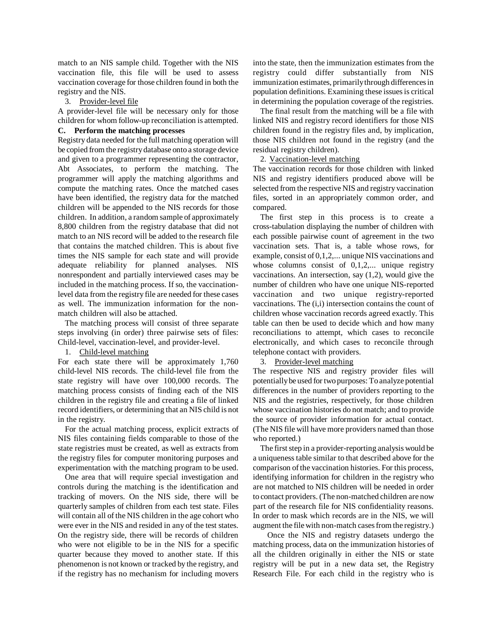match to an NIS sample child. Together with the NIS vaccination file, this file will be used to assess vaccination coverage for those children found in both the registry and the NIS.

3. Provider-level file

A provider-level file will be necessary only for those children for whom follow-up reconciliation is attempted.

# **C. Perform the matching processes**

Registry data needed for the full matching operation will be copied from the registry database onto a storage device and given to a programmer representing the contractor, Abt Associates, to perform the matching. The programmer will apply the matching algorithms and compute the matching rates. Once the matched cases have been identified, the registry data for the matched children will be appended to the NIS records for those children. In addition, a random sample of approximately 8,800 children from the registry database that did not match to an NIS record will be added to the research file that contains the matched children. This is about five times the NIS sample for each state and will provide adequate reliability for planned analyses. NIS nonrespondent and partially interviewed cases may be included in the matching process. If so, the vaccinationlevel data from the registry file are needed for these cases as well. The immunization information for the nonmatch children will also be attached.

The matching process will consist of three separate steps involving (in order) three pairwise sets of files: Child-level, vaccination-level, and provider-level.

1. Child-level matching

For each state there will be approximately 1,760 child-level NIS records. The child-level file from the state registry will have over 100,000 records. The matching process consists of finding each of the NIS children in the registry file and creating a file of linked record identifiers, or determining that an NIS child is not in the registry.

For the actual matching process, explicit extracts of NIS files containing fields comparable to those of the state registries must be created, as well as extracts from the registry files for computer monitoring purposes and experimentation with the matching program to be used.

One area that will require special investigation and controls during the matching is the identification and tracking of movers. On the NIS side, there will be quarterly samples of children from each test state. Files will contain all of the NIS children in the age cohort who were ever in the NIS and resided in any of the test states. On the registry side, there will be records of children who were not eligible to be in the NIS for a specific quarter because they moved to another state. If this phenomenon is not known or tracked by the registry, and if the registry has no mechanism for including movers into the state, then the immunization estimates from the registry could differ substantially from NIS immunization estimates, primarily through differences in population definitions. Examining these issues is critical in determining the population coverage of the registries.

The final result from the matching will be a file with linked NIS and registry record identifiers for those NIS children found in the registry files and, by implication, those NIS children not found in the registry (and the residual registry children).

# 2. Vaccination-level matching

The vaccination records for those children with linked NIS and registry identifiers produced above will be selected from the respective NIS and registry vaccination files, sorted in an appropriately common order, and compared.

The first step in this process is to create a cross-tabulation displaying the number of children with each possible pairwise count of agreement in the two vaccination sets. That is, a table whose rows, for example, consist of 0,1,2,... unique NIS vaccinations and whose columns consist of 0,1,2,... unique registry vaccinations. An intersection, say (1,2), would give the number of children who have one unique NIS-reported vaccination and two unique registry-reported vaccinations. The (i,i) intersection contains the count of children whose vaccination records agreed exactly. This table can then be used to decide which and how many reconciliations to attempt, which cases to reconcile electronically, and which cases to reconcile through telephone contact with providers.

## 3. Provider-level matching

The respective NIS and registry provider files will potentially be used for two purposes: To analyze potential differences in the number of providers reporting to the NIS and the registries, respectively, for those children whose vaccination histories do not match; and to provide the source of provider information for actual contact. (The NIS file will have more providers named than those who reported.)

The first step in a provider-reporting analysis would be a uniqueness table similar to that described above for the comparison of the vaccination histories. For this process, identifying information for children in the registry who are not matched to NIS children will be needed in order to contact providers. (The non-matched children are now part of the research file for NIS confidentiality reasons. In order to mask which records are in the NIS, we will augment the file with non-match cases from the registry.)

Once the NIS and registry datasets undergo the matching process, data on the immunization histories of all the children originally in either the NIS or state registry will be put in a new data set, the Registry Research File. For each child in the registry who is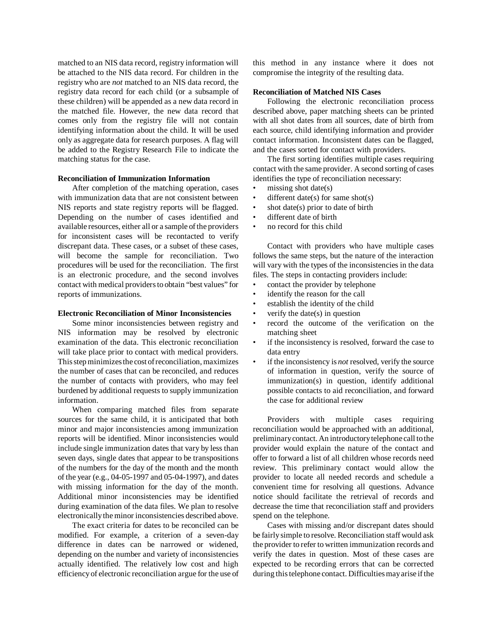matched to an NIS data record, registry information will be attached to the NIS data record. For children in the registry who are *not* matched to an NIS data record, the registry data record for each child (or a subsample of these children) will be appended as a new data record in the matched file. However, the new data record that comes only from the registry file will not contain identifying information about the child. It will be used only as aggregate data for research purposes. A flag will be added to the Registry Research File to indicate the matching status for the case.

#### **Reconciliation of Immunization Information**

After completion of the matching operation, cases with immunization data that are not consistent between NIS reports and state registry reports will be flagged. Depending on the number of cases identified and available resources, either all or a sample of the providers for inconsistent cases will be recontacted to verify discrepant data. These cases, or a subset of these cases, will become the sample for reconciliation. Two procedures will be used for the reconciliation. The first is an electronic procedure, and the second involves contact with medical providers to obtain "best values" for reports of immunizations.

#### **Electronic Reconciliation of Minor Inconsistencies**

Some minor inconsistencies between registry and NIS information may be resolved by electronic examination of the data. This electronic reconciliation will take place prior to contact with medical providers. This step minimizes the cost of reconciliation, maximizes the number of cases that can be reconciled, and reduces the number of contacts with providers, who may feel burdened by additional requests to supply immunization information.

When comparing matched files from separate sources for the same child, it is anticipated that both minor and major inconsistencies among immunization reports will be identified. Minor inconsistencies would include single immunization dates that vary by less than seven days, single dates that appear to be transpositions of the numbers for the day of the month and the month of the year (e.g., 04-05-1997 and 05-04-1997), and dates with missing information for the day of the month. Additional minor inconsistencies may be identified during examination of the data files. We plan to resolve electronically the minor inconsistencies described above.

The exact criteria for dates to be reconciled can be modified. For example, a criterion of a seven-day difference in dates can be narrowed or widened, depending on the number and variety of inconsistencies actually identified. The relatively low cost and high efficiency of electronic reconciliation argue for the use of this method in any instance where it does not compromise the integrity of the resulting data.

#### **Reconciliation of Matched NIS Cases**

Following the electronic reconciliation process described above, paper matching sheets can be printed with all shot dates from all sources, date of birth from each source, child identifying information and provider contact information. Inconsistent dates can be flagged, and the cases sorted for contact with providers.

The first sorting identifies multiple cases requiring contact with the same provider. A second sorting of cases identifies the type of reconciliation necessary:

- missing shot date( $s$ )
- different date(s) for same shot(s)
- shot date(s) prior to date of birth
- different date of birth
- no record for this child

Contact with providers who have multiple cases follows the same steps, but the nature of the interaction will vary with the types of the inconsistencies in the data files. The steps in contacting providers include:

- contact the provider by telephone
- identify the reason for the call
- establish the identity of the child
- verify the date( $s$ ) in question
- record the outcome of the verification on the matching sheet
- if the inconsistency is resolved, forward the case to data entry
- if the inconsistency is *not* resolved, verify the source of information in question, verify the source of immunization(s) in question, identify additional possible contacts to aid reconciliation, and forward the case for additional review

Providers with multiple cases requiring reconciliation would be approached with an additional, preliminary contact. An introductory telephone call to the provider would explain the nature of the contact and offer to forward a list of all children whose records need review. This preliminary contact would allow the provider to locate all needed records and schedule a convenient time for resolving all questions. Advance notice should facilitate the retrieval of records and decrease the time that reconciliation staff and providers spend on the telephone.

Cases with missing and/or discrepant dates should be fairly simple to resolve. Reconciliation staff would ask the provider to refer to written immunization records and verify the dates in question. Most of these cases are expected to be recording errors that can be corrected during this telephone contact. Difficulties may arise if the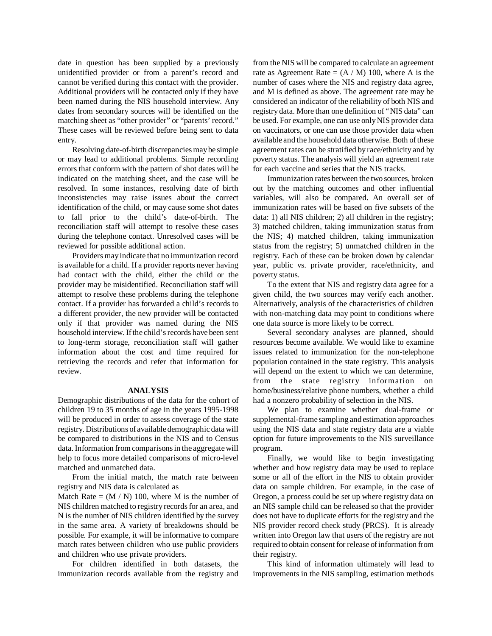date in question has been supplied by a previously unidentified provider or from a parent's record and cannot be verified during this contact with the provider. Additional providers will be contacted only if they have been named during the NIS household interview. Any dates from secondary sources will be identified on the matching sheet as "other provider" or "parents' record." These cases will be reviewed before being sent to data entry.

Resolving date-of-birth discrepancies may be simple or may lead to additional problems. Simple recording errors that conform with the pattern of shot dates will be indicated on the matching sheet, and the case will be resolved. In some instances, resolving date of birth inconsistencies may raise issues about the correct identification of the child, or may cause some shot dates to fall prior to the child's date-of-birth. The reconciliation staff will attempt to resolve these cases during the telephone contact. Unresolved cases will be reviewed for possible additional action.

Providers may indicate that no immunization record is available for a child. If a provider reports never having had contact with the child, either the child or the provider may be misidentified. Reconciliation staff will attempt to resolve these problems during the telephone contact. If a provider has forwarded a child's records to a different provider, the new provider will be contacted only if that provider was named during the NIS household interview. If the child's records have been sent to long-term storage, reconciliation staff will gather information about the cost and time required for retrieving the records and refer that information for review.

#### **ANALYSIS**

Demographic distributions of the data for the cohort of children 19 to 35 months of age in the years 1995-1998 will be produced in order to assess coverage of the state registry. Distributions of available demographic data will be compared to distributions in the NIS and to Census data. Information from comparisons in the aggregate will help to focus more detailed comparisons of micro-level matched and unmatched data.

From the initial match, the match rate between registry and NIS data is calculated as

Match Rate =  $(M / N)$  100, where M is the number of NIS children matched to registry records for an area, and N is the number of NIS children identified by the survey in the same area. A variety of breakdowns should be possible. For example, it will be informative to compare match rates between children who use public providers and children who use private providers.

For children identified in both datasets, the immunization records available from the registry and from the NIS will be compared to calculate an agreement rate as Agreement Rate =  $(A / M)$  100, where A is the number of cases where the NIS and registry data agree, and M is defined as above. The agreement rate may be considered an indicator of the reliability of both NIS and registry data. More than one definition of "NIS data" can be used. For example, one can use only NIS provider data on vaccinators, or one can use those provider data when available and the household data otherwise. Both of these agreement rates can be stratified by race/ethnicity and by poverty status. The analysis will yield an agreement rate for each vaccine and series that the NIS tracks.

Immunization rates between the two sources, broken out by the matching outcomes and other influential variables, will also be compared. An overall set of immunization rates will be based on five subsets of the data: 1) all NIS children; 2) all children in the registry; 3) matched children, taking immunization status from the NIS; 4) matched children, taking immunization status from the registry; 5) unmatched children in the registry. Each of these can be broken down by calendar year, public vs. private provider, race/ethnicity, and poverty status.

To the extent that NIS and registry data agree for a given child, the two sources may verify each another. Alternatively, analysis of the characteristics of children with non-matching data may point to conditions where one data source is more likely to be correct.

Several secondary analyses are planned, should resources become available. We would like to examine issues related to immunization for the non-telephone population contained in the state registry. This analysis will depend on the extent to which we can determine, from the state registry information on home/business/relative phone numbers, whether a child had a nonzero probability of selection in the NIS.

We plan to examine whether dual-frame or supplemental-frame sampling and estimation approaches using the NIS data and state registry data are a viable option for future improvements to the NIS surveillance program.

Finally, we would like to begin investigating whether and how registry data may be used to replace some or all of the effort in the NIS to obtain provider data on sample children. For example, in the case of Oregon, a process could be set up where registry data on an NIS sample child can be released so that the provider does not have to duplicate efforts for the registry and the NIS provider record check study (PRCS). It is already written into Oregon law that users of the registry are not required to obtain consent for release of information from their registry.

This kind of information ultimately will lead to improvements in the NIS sampling, estimation methods